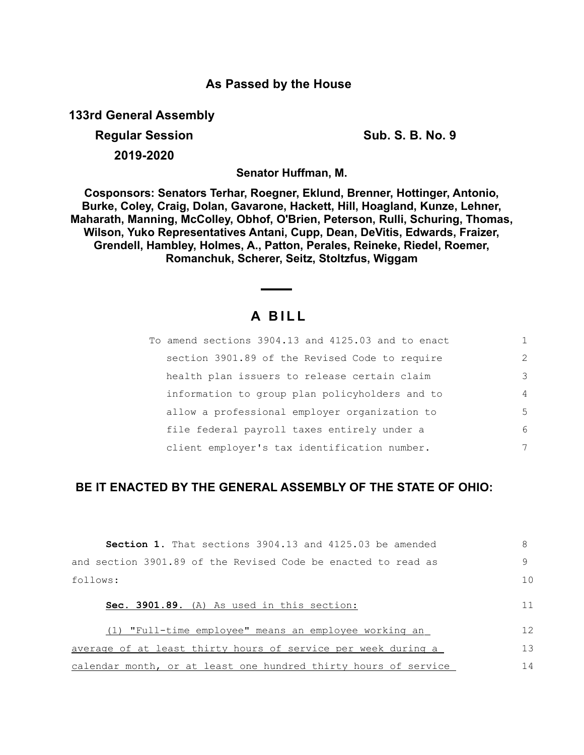## **As Passed by the House**

**133rd General Assembly**

**Regular Session Sub. S. B. No. 9 Sub. S. B. No. 9 2019-2020**

**Senator Huffman, M.**

**Cosponsors: Senators Terhar, Roegner, Eklund, Brenner, Hottinger, Antonio, Burke, Coley, Craig, Dolan, Gavarone, Hackett, Hill, Hoagland, Kunze, Lehner, Maharath, Manning, McColley, Obhof, O'Brien, Peterson, Rulli, Schuring, Thomas, Wilson, Yuko Representatives Antani, Cupp, Dean, DeVitis, Edwards, Fraizer, Grendell, Hambley, Holmes, A., Patton, Perales, Reineke, Riedel, Roemer, Romanchuk, Scherer, Seitz, Stoltzfus, Wiggam**

## **A B I L L**

| To amend sections 3904.13 and 4125.03 and to enact |                |
|----------------------------------------------------|----------------|
| section 3901.89 of the Revised Code to require     | $\mathcal{L}$  |
| health plan issuers to release certain claim       | 3              |
| information to group plan policyholders and to     | $\overline{4}$ |
| allow a professional employer organization to      | .5             |
| file federal payroll taxes entirely under a        | 6              |
| client employer's tax identification number.       | 7              |

## **BE IT ENACTED BY THE GENERAL ASSEMBLY OF THE STATE OF OHIO:**

| <b>Section 1.</b> That sections 3904.13 and 4125.03 be amended  | 8  |
|-----------------------------------------------------------------|----|
| and section 3901.89 of the Revised Code be enacted to read as   | 9  |
| follows:                                                        | 10 |
| Sec. 3901.89. (A) As used in this section:                      | 11 |
| "Full-time emplovee" means an emplovee working an<br>(1)        | 12 |
| average of at least thirty hours of service per week during a   | 13 |
| calendar month, or at least one hundred thirty hours of service | 14 |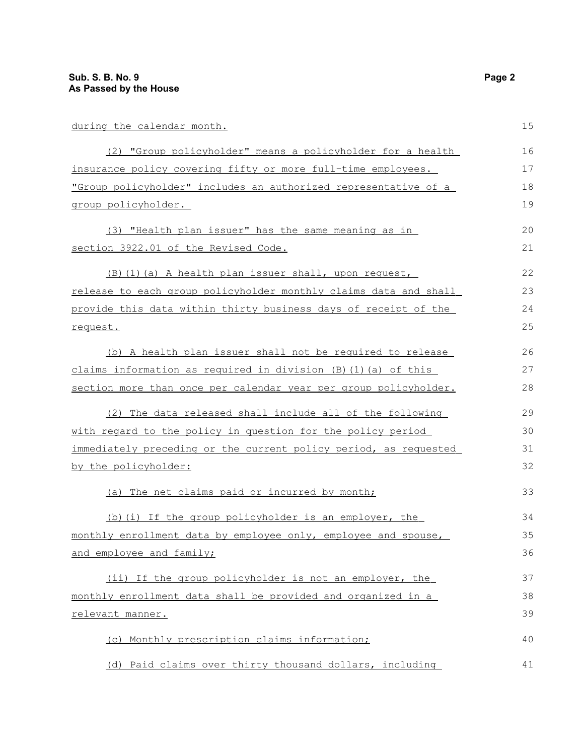| during the calendar month.                                           | 15 |
|----------------------------------------------------------------------|----|
| (2) "Group policyholder" means a policyholder for a health           | 16 |
| insurance policy covering fifty or more full-time employees.         | 17 |
| "Group policyholder" includes an authorized representative of a      | 18 |
| group policyholder.                                                  | 19 |
| (3) "Health plan issuer" has the same meaning as in                  | 20 |
| section 3922.01 of the Revised Code.                                 | 21 |
| (B) (1) (a) A health plan issuer shall, upon request,                | 22 |
| release to each group policyholder monthly claims data and shall     | 23 |
| provide this data within thirty business days of receipt of the      | 24 |
| request.                                                             | 25 |
| (b) A health plan issuer shall not be required to release            | 26 |
| claims information as required in division $(B)$ $(1)$ $(a)$ of this | 27 |
| section more than once per calendar year per group policyholder.     | 28 |
| (2) The data released shall include all of the following             | 29 |
| with regard to the policy in question for the policy period          | 30 |
| immediately preceding or the current policy period, as requested     | 31 |
| by the policyholder:                                                 | 32 |
| (a) The net claims paid or incurred by month;                        | 33 |
| (b) (i) If the group policyholder is an employer, the                | 34 |
| monthly enrollment data by employee only, employee and spouse,       | 35 |
| and employee and family;                                             | 36 |
| (ii) If the group policyholder is not an employer, the               | 37 |
| monthly enrollment data shall be provided and organized in a         | 38 |
| relevant manner.                                                     | 39 |
| (c) Monthly prescription claims information;                         | 40 |
| (d) Paid claims over thirty thousand dollars, including              | 41 |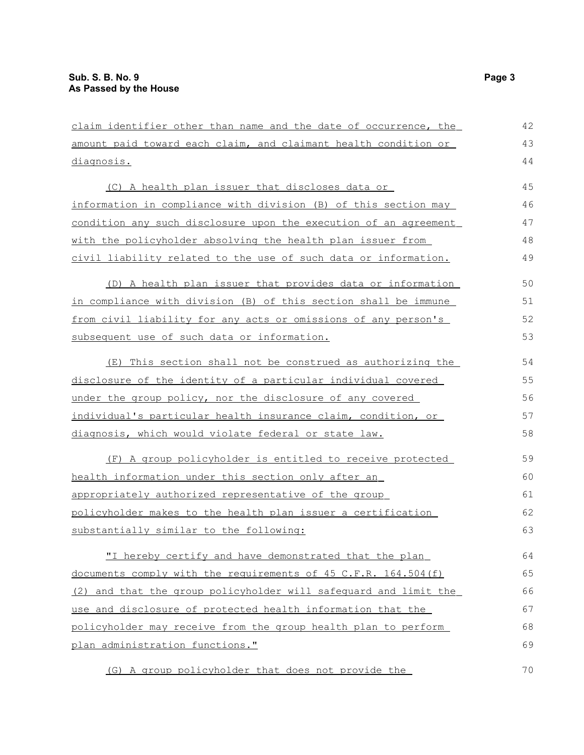claim identifier other than name and the date of occurrence, the amount paid toward each claim, and claimant health condition or diagnosis. (C) A health plan issuer that discloses data or information in compliance with division (B) of this section may condition any such disclosure upon the execution of an agreement with the policyholder absolving the health plan issuer from civil liability related to the use of such data or information. (D) A health plan issuer that provides data or information in compliance with division (B) of this section shall be immune from civil liability for any acts or omissions of any person's subsequent use of such data or information. (E) This section shall not be construed as authorizing the disclosure of the identity of a particular individual covered under the group policy, nor the disclosure of any covered individual's particular health insurance claim, condition, or diagnosis, which would violate federal or state law. (F) A group policyholder is entitled to receive protected health information under this section only after an appropriately authorized representative of the group policyholder makes to the health plan issuer a certification substantially similar to the following: "I hereby certify and have demonstrated that the plan documents comply with the requirements of 45 C.F.R. 164.504(f) (2) and that the group policyholder will safeguard and limit the use and disclosure of protected health information that the policyholder may receive from the group health plan to perform plan administration functions." 42 43 44 45 46 47 48 49 50 51 52 53 54 55 56 57 58 59 60 61 62 63 64 65 66 67 68 69

 (G) A group policyholder that does not provide the 70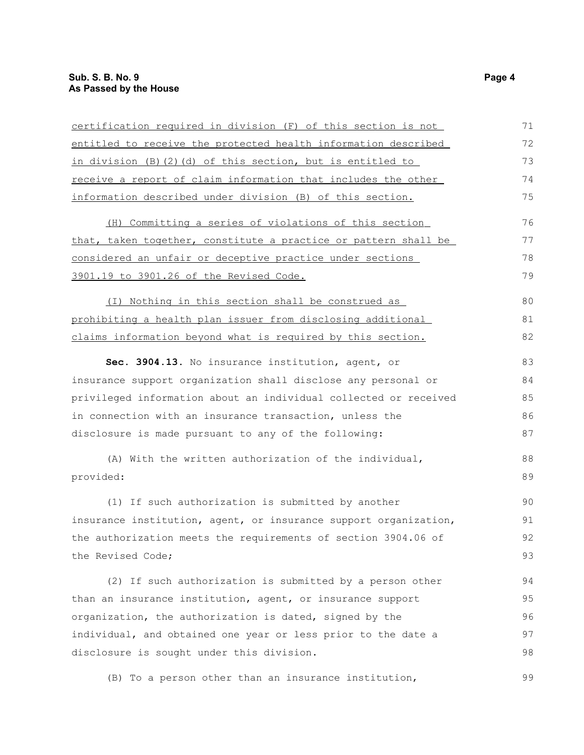| certification required in division (F) of this section is not    | 71 |
|------------------------------------------------------------------|----|
| entitled to receive the protected health information described   | 72 |
| in division (B) (2) (d) of this section, but is entitled to      | 73 |
| receive a report of claim information that includes the other    | 74 |
| information described under division (B) of this section.        | 75 |
| (H) Committing a series of violations of this section            | 76 |
| that, taken together, constitute a practice or pattern shall be  | 77 |
| considered an unfair or deceptive practice under sections        | 78 |
| 3901.19 to 3901.26 of the Revised Code.                          | 79 |
| (I) Nothing in this section shall be construed as                | 80 |
| prohibiting a health plan issuer from disclosing additional      | 81 |
| claims information beyond what is required by this section.      | 82 |
| Sec. 3904.13. No insurance institution, agent, or                | 83 |
| insurance support organization shall disclose any personal or    | 84 |
| privileged information about an individual collected or received | 85 |
| in connection with an insurance transaction, unless the          | 86 |
| disclosure is made pursuant to any of the following:             | 87 |
| (A) With the written authorization of the individual,            | 88 |
| provided:                                                        | 89 |
| (1) If such authorization is submitted by another                | 90 |
| insurance institution, agent, or insurance support organization, | 91 |
| the authorization meets the requirements of section 3904.06 of   | 92 |
| the Revised Code;                                                | 93 |
| (2) If such authorization is submitted by a person other         | 94 |
| than an insurance institution, agent, or insurance support       | 95 |
| organization, the authorization is dated, signed by the          | 96 |
| individual, and obtained one year or less prior to the date a    | 97 |
| disclosure is sought under this division.                        | 98 |
| (B) To a person other than an insurance institution,             | 99 |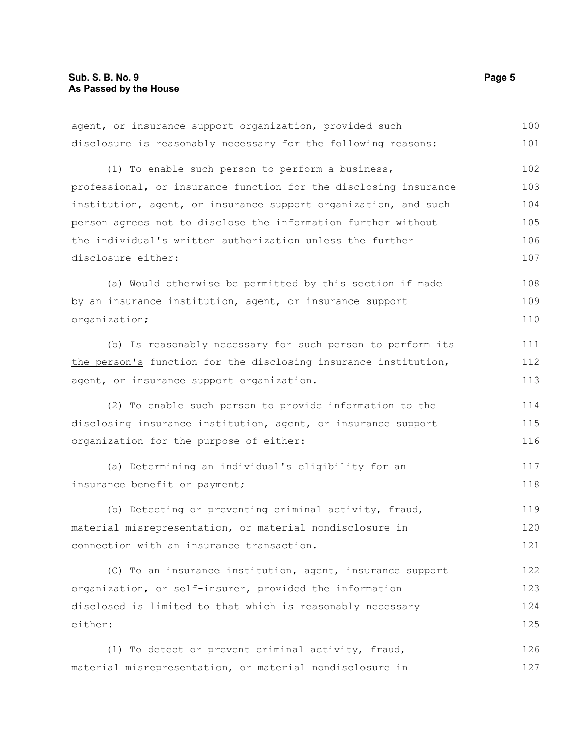| agent, or insurance support organization, provided such          | 100 |
|------------------------------------------------------------------|-----|
| disclosure is reasonably necessary for the following reasons:    | 101 |
| (1) To enable such person to perform a business,                 | 102 |
| professional, or insurance function for the disclosing insurance | 103 |
| institution, agent, or insurance support organization, and such  | 104 |
| person agrees not to disclose the information further without    | 105 |
| the individual's written authorization unless the further        | 106 |
| disclosure either:                                               | 107 |
| (a) Would otherwise be permitted by this section if made         | 108 |
| by an insurance institution, agent, or insurance support         | 109 |
| organization;                                                    | 110 |
| (b) Is reasonably necessary for such person to perform its-      | 111 |
| the person's function for the disclosing insurance institution,  | 112 |
| agent, or insurance support organization.                        | 113 |
| (2) To enable such person to provide information to the          | 114 |
| disclosing insurance institution, agent, or insurance support    | 115 |
| organization for the purpose of either:                          | 116 |
| (a) Determining an individual's eligibility for an               | 117 |
| insurance benefit or payment;                                    | 118 |
| (b) Detecting or preventing criminal activity, fraud,            | 119 |
| material misrepresentation, or material nondisclosure in         | 120 |
| connection with an insurance transaction.                        | 121 |
| (C) To an insurance institution, agent, insurance support        | 122 |
| organization, or self-insurer, provided the information          | 123 |
| disclosed is limited to that which is reasonably necessary       | 124 |
| either:                                                          | 125 |
| (1) To detect or prevent criminal activity, fraud,               | 126 |
| material misrepresentation, or material nondisclosure in         | 127 |
|                                                                  |     |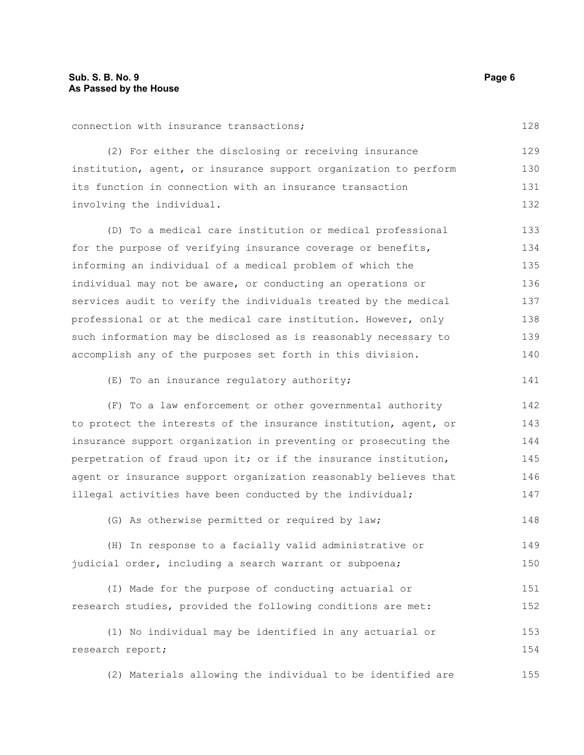connection with insurance transactions; (2) For either the disclosing or receiving insurance institution, agent, or insurance support organization to perform its function in connection with an insurance transaction involving the individual. (D) To a medical care institution or medical professional for the purpose of verifying insurance coverage or benefits, informing an individual of a medical problem of which the individual may not be aware, or conducting an operations or services audit to verify the individuals treated by the medical professional or at the medical care institution. However, only such information may be disclosed as is reasonably necessary to accomplish any of the purposes set forth in this division. (E) To an insurance regulatory authority; (F) To a law enforcement or other governmental authority to protect the interests of the insurance institution, agent, or insurance support organization in preventing or prosecuting the perpetration of fraud upon it; or if the insurance institution, agent or insurance support organization reasonably believes that illegal activities have been conducted by the individual; (G) As otherwise permitted or required by law; (H) In response to a facially valid administrative or judicial order, including a search warrant or subpoena; (I) Made for the purpose of conducting actuarial or research studies, provided the following conditions are met: (1) No individual may be identified in any actuarial or research report; (2) Materials allowing the individual to be identified are 128 129 130 131 132 133 134 135 136 137 138 139 140 141 142 143 144 145 146 147 148 149 150 151 152 153 154 155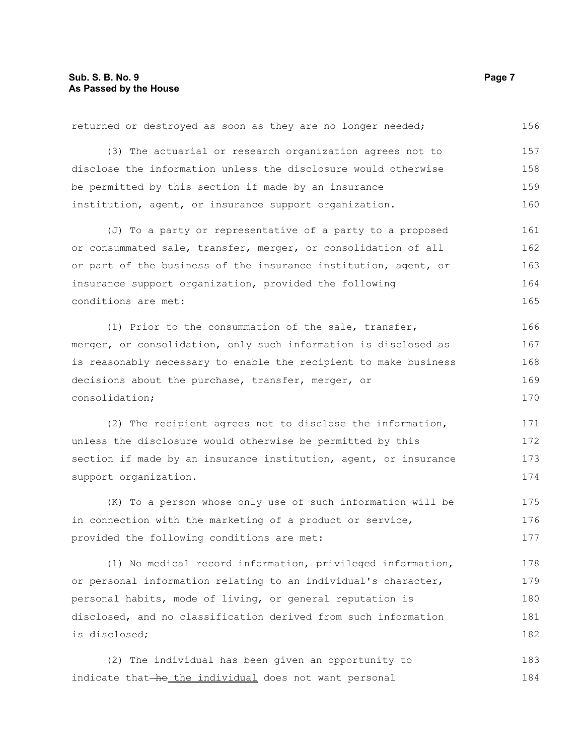| returned or destroyed as soon as they are no longer needed;      | 156 |
|------------------------------------------------------------------|-----|
| (3) The actuarial or research organization agrees not to         | 157 |
| disclose the information unless the disclosure would otherwise   | 158 |
| be permitted by this section if made by an insurance             | 159 |
| institution, agent, or insurance support organization.           | 160 |
| (J) To a party or representative of a party to a proposed        | 161 |
| or consummated sale, transfer, merger, or consolidation of all   | 162 |
| or part of the business of the insurance institution, agent, or  | 163 |
| insurance support organization, provided the following           | 164 |
| conditions are met:                                              | 165 |
| (1) Prior to the consummation of the sale, transfer,             | 166 |
| merger, or consolidation, only such information is disclosed as  | 167 |
| is reasonably necessary to enable the recipient to make business | 168 |
| decisions about the purchase, transfer, merger, or               | 169 |
| consolidation;                                                   | 170 |
| (2) The recipient agrees not to disclose the information,        | 171 |
| unless the disclosure would otherwise be permitted by this       | 172 |
| section if made by an insurance institution, agent, or insurance | 173 |
| support organization.                                            | 174 |
| (K) To a person whose only use of such information will be       | 175 |
| in connection with the marketing of a product or service,        | 176 |
| provided the following conditions are met:                       | 177 |
| (1) No medical record information, privileged information,       | 178 |
| or personal information relating to an individual's character,   | 179 |
| personal habits, mode of living, or general reputation is        | 180 |
| disclosed, and no classification derived from such information   | 181 |
| is disclosed;                                                    | 182 |
| (2) The individual has been given an opportunity to              | 183 |
| indicate that-he_the_individual does not want personal           | 184 |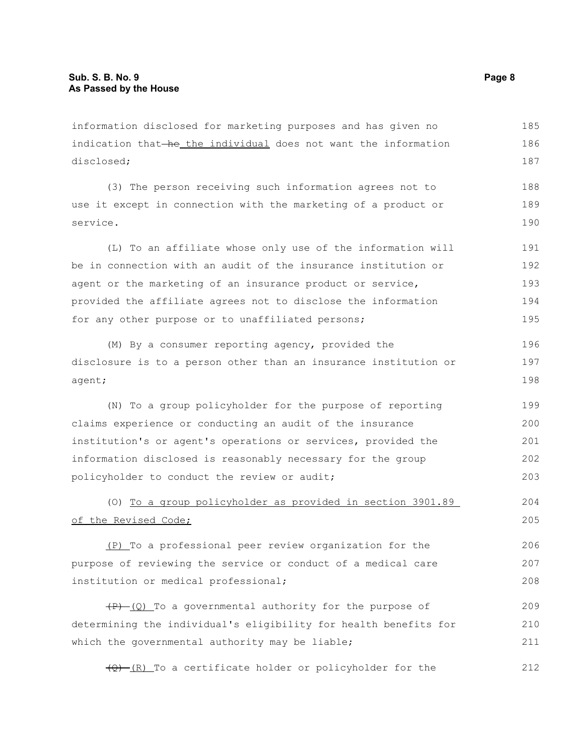information disclosed for marketing purposes and has given no indication that-he the individual does not want the information disclosed; 185 186 187

(3) The person receiving such information agrees not to use it except in connection with the marketing of a product or service. 188 189 190

(L) To an affiliate whose only use of the information will be in connection with an audit of the insurance institution or agent or the marketing of an insurance product or service, provided the affiliate agrees not to disclose the information for any other purpose or to unaffiliated persons; 191 192 193 194 195

(M) By a consumer reporting agency, provided the disclosure is to a person other than an insurance institution or agent; 196 197 198

(N) To a group policyholder for the purpose of reporting claims experience or conducting an audit of the insurance institution's or agent's operations or services, provided the information disclosed is reasonably necessary for the group policyholder to conduct the review or audit; 199 200 201 202 203

## (O) To a group policyholder as provided in section 3901.89 of the Revised Code; 204 205

(P) To a professional peer review organization for the purpose of reviewing the service or conduct of a medical care institution or medical professional; 206 207 208

 $(P)$  (Q) To a governmental authority for the purpose of determining the individual's eligibility for health benefits for which the governmental authority may be liable; 209 210 211

 $(Q)$  (R) To a certificate holder or policyholder for the 212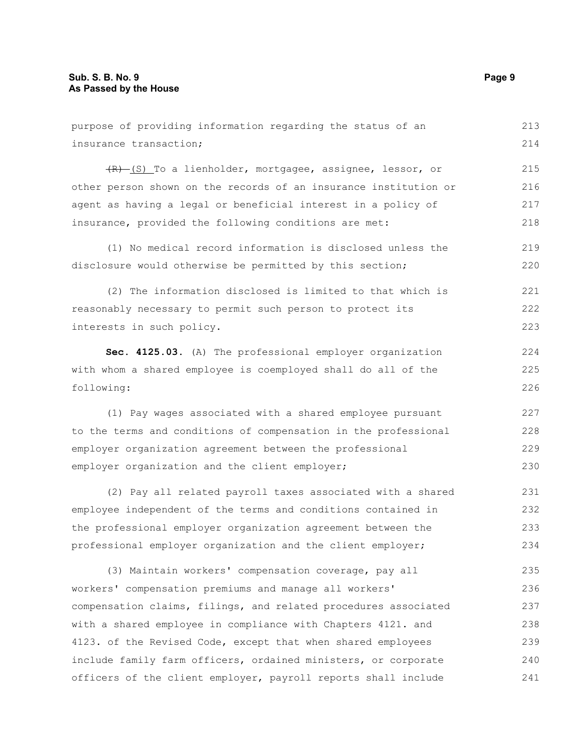purpose of providing information regarding the status of an insurance transaction; (R) (S) To a lienholder, mortgagee, assignee, lessor, or other person shown on the records of an insurance institution or agent as having a legal or beneficial interest in a policy of insurance, provided the following conditions are met: (1) No medical record information is disclosed unless the disclosure would otherwise be permitted by this section; (2) The information disclosed is limited to that which is reasonably necessary to permit such person to protect its interests in such policy. **Sec. 4125.03.** (A) The professional employer organization with whom a shared employee is coemployed shall do all of the following: (1) Pay wages associated with a shared employee pursuant to the terms and conditions of compensation in the professional employer organization agreement between the professional employer organization and the client employer; (2) Pay all related payroll taxes associated with a shared employee independent of the terms and conditions contained in the professional employer organization agreement between the professional employer organization and the client employer; (3) Maintain workers' compensation coverage, pay all workers' compensation premiums and manage all workers' compensation claims, filings, and related procedures associated with a shared employee in compliance with Chapters 4121. and 213 214 215 216 217 218 219 220 221 222 223 224 225 226 227 228 229 230 231 232 233 234 235 236 237 238

4123. of the Revised Code, except that when shared employees include family farm officers, ordained ministers, or corporate officers of the client employer, payroll reports shall include 239 240 241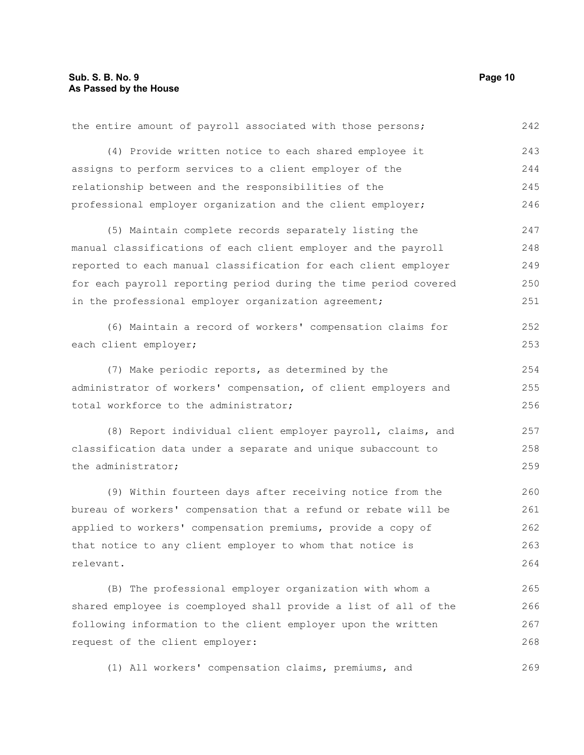| the entire amount of payroll associated with those persons;      | 242 |
|------------------------------------------------------------------|-----|
| (4) Provide written notice to each shared employee it            | 243 |
| assigns to perform services to a client employer of the          | 244 |
| relationship between and the responsibilities of the             | 245 |
| professional employer organization and the client employer;      | 246 |
| (5) Maintain complete records separately listing the             | 247 |
| manual classifications of each client employer and the payroll   | 248 |
| reported to each manual classification for each client employer  | 249 |
| for each payroll reporting period during the time period covered | 250 |
| in the professional employer organization agreement;             | 251 |
| (6) Maintain a record of workers' compensation claims for        | 252 |
| each client employer;                                            | 253 |
| (7) Make periodic reports, as determined by the                  | 254 |
| administrator of workers' compensation, of client employers and  | 255 |
| total workforce to the administrator;                            | 256 |
| (8) Report individual client employer payroll, claims, and       | 257 |
| classification data under a separate and unique subaccount to    | 258 |
| the administrator;                                               | 259 |
| (9) Within fourteen days after receiving notice from the         | 260 |
| bureau of workers' compensation that a refund or rebate will be  | 261 |
| applied to workers' compensation premiums, provide a copy of     | 262 |
| that notice to any client employer to whom that notice is        | 263 |
| relevant.                                                        | 264 |
| (B) The professional employer organization with whom a           | 265 |
| shared employee is coemployed shall provide a list of all of the | 266 |
| following information to the client employer upon the written    | 267 |
| request of the client employer:                                  | 268 |
| (1) All workers' compensation claims, premiums, and              | 269 |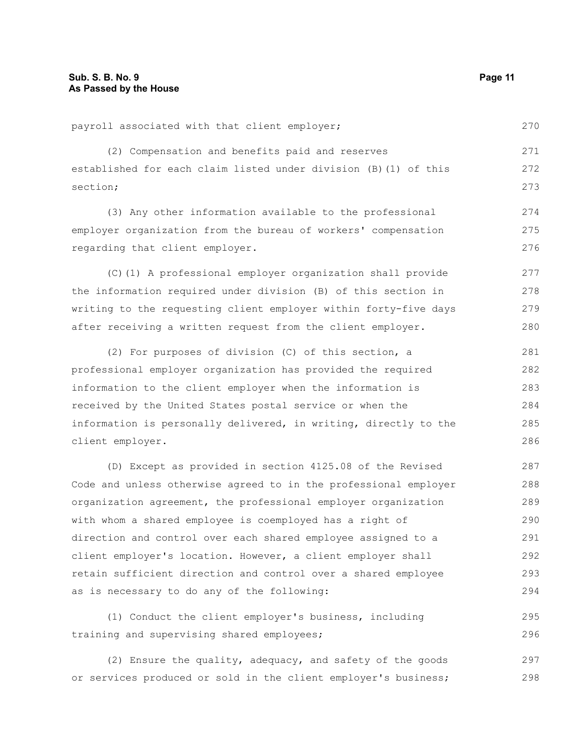client employer.

| payroll associated with that client employer;                    | 270 |
|------------------------------------------------------------------|-----|
| (2) Compensation and benefits paid and reserves                  | 271 |
| established for each claim listed under division (B) (1) of this | 272 |
| section;                                                         | 273 |
| (3) Any other information available to the professional          | 274 |
| employer organization from the bureau of workers' compensation   | 275 |
| regarding that client employer.                                  | 276 |
| (C)(1) A professional employer organization shall provide        | 277 |
| the information required under division (B) of this section in   | 278 |
| writing to the requesting client employer within forty-five days | 279 |
| after receiving a written request from the client employer.      | 280 |
| (2) For purposes of division (C) of this section, a              | 281 |
| professional employer organization has provided the required     | 282 |
| information to the client employer when the information is       | 283 |
| received by the United States postal service or when the         | 284 |
| information is personally delivered, in writing, directly to the | 285 |

(D) Except as provided in section 4125.08 of the Revised Code and unless otherwise agreed to in the professional employer organization agreement, the professional employer organization with whom a shared employee is coemployed has a right of direction and control over each shared employee assigned to a client employer's location. However, a client employer shall retain sufficient direction and control over a shared employee as is necessary to do any of the following: 287 288 289 290 291 292 293 294

(1) Conduct the client employer's business, including training and supervising shared employees; 295 296

(2) Ensure the quality, adequacy, and safety of the goods or services produced or sold in the client employer's business; 297 298

286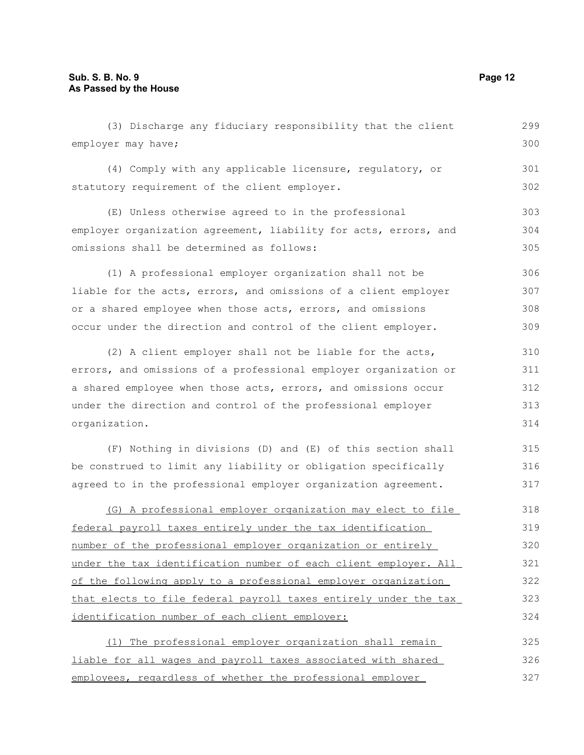| (3) Discharge any fiduciary responsibility that the client       | 299 |
|------------------------------------------------------------------|-----|
| employer may have;                                               | 300 |
| (4) Comply with any applicable licensure, regulatory, or         | 301 |
| statutory requirement of the client employer.                    | 302 |
| (E) Unless otherwise agreed to in the professional               | 303 |
| employer organization agreement, liability for acts, errors, and | 304 |
| omissions shall be determined as follows:                        | 305 |
| (1) A professional employer organization shall not be            | 306 |
| liable for the acts, errors, and omissions of a client employer  | 307 |
| or a shared employee when those acts, errors, and omissions      | 308 |
| occur under the direction and control of the client employer.    | 309 |
| (2) A client employer shall not be liable for the acts,          | 310 |
| errors, and omissions of a professional employer organization or | 311 |
| a shared employee when those acts, errors, and omissions occur   | 312 |
| under the direction and control of the professional employer     | 313 |
| organization.                                                    | 314 |
| (F) Nothing in divisions (D) and (E) of this section shall       | 315 |
| be construed to limit any liability or obligation specifically   | 316 |
| agreed to in the professional employer organization agreement.   | 317 |
| (G) A professional employer organization may elect to file       | 318 |
| federal payroll taxes entirely under the tax identification      | 319 |
| number of the professional employer organization or entirely     | 320 |
| under the tax identification number of each client employer. All | 321 |
| of the following apply to a professional employer organization   | 322 |
| that elects to file federal payroll taxes entirely under the tax | 323 |
| identification number of each client employer:                   | 324 |
| (1) The professional employer organization shall remain          | 325 |
| liable for all wages and payroll taxes associated with shared    | 326 |
| employees, regardless of whether the professional employer       | 327 |